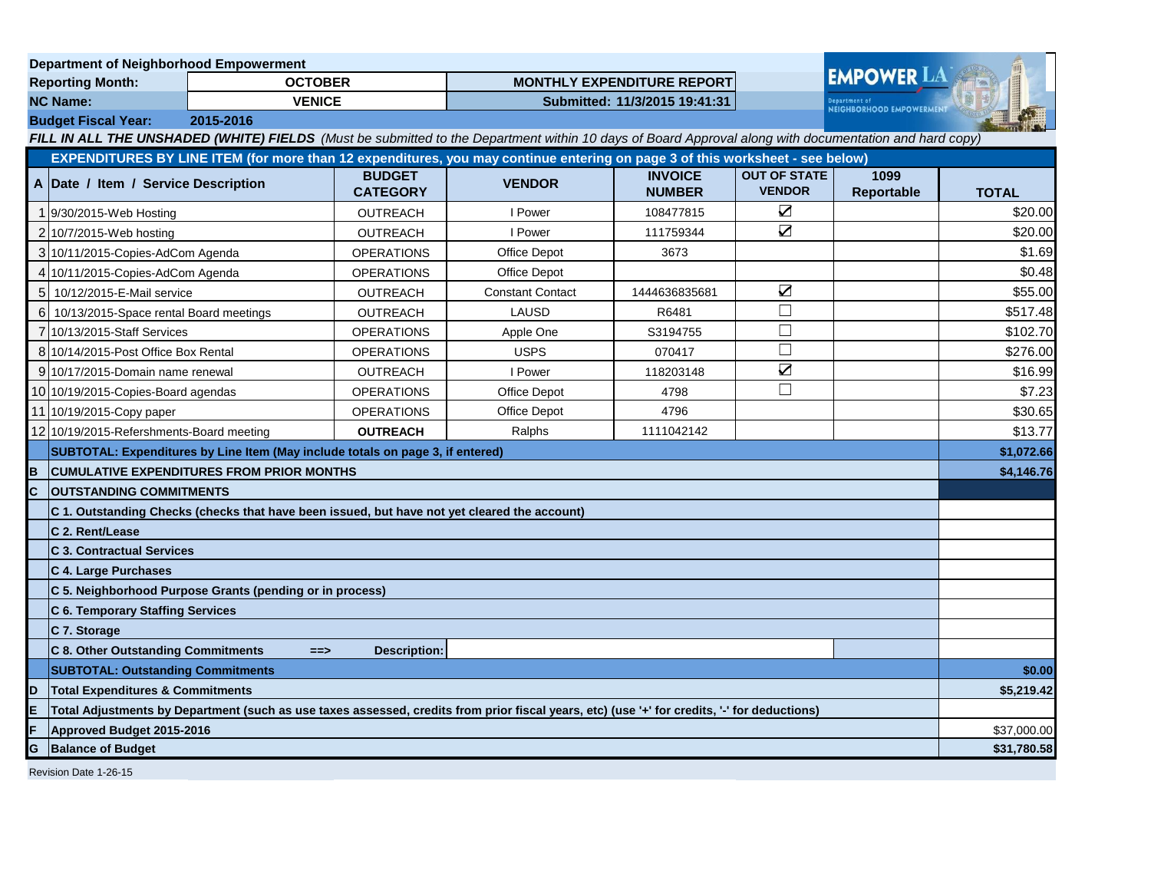|                                                                                                                                                       |                                                                                                                                              | <b>Department of Neighborhood Empowerment</b> |                                  |                                   |                                 |                                      |                    |              |  |
|-------------------------------------------------------------------------------------------------------------------------------------------------------|----------------------------------------------------------------------------------------------------------------------------------------------|-----------------------------------------------|----------------------------------|-----------------------------------|---------------------------------|--------------------------------------|--------------------|--------------|--|
| <b>Reporting Month:</b>                                                                                                                               |                                                                                                                                              | <b>OCTOBER</b>                                |                                  | <b>MONTHLY EXPENDITURE REPORT</b> |                                 |                                      | <b>EMPOWER LAT</b> |              |  |
| <b>NC Name:</b><br><b>VENICE</b>                                                                                                                      |                                                                                                                                              |                                               | Submitted: 11/3/2015 19:41:31    |                                   |                                 | <b>NEIGHBORHOOD EMPOWERMENT</b>      |                    |              |  |
|                                                                                                                                                       | <b>Budget Fiscal Year:</b><br>2015-2016                                                                                                      |                                               |                                  |                                   |                                 |                                      |                    |              |  |
| FILL IN ALL THE UNSHADED (WHITE) FIELDS (Must be submitted to the Department within 10 days of Board Approval along with documentation and hard copy) |                                                                                                                                              |                                               |                                  |                                   |                                 |                                      |                    |              |  |
|                                                                                                                                                       | EXPENDITURES BY LINE ITEM (for more than 12 expenditures, you may continue entering on page 3 of this worksheet - see below)                 |                                               |                                  |                                   |                                 |                                      |                    |              |  |
|                                                                                                                                                       | A Date / Item / Service Description                                                                                                          |                                               | <b>BUDGET</b><br><b>CATEGORY</b> | <b>VENDOR</b>                     | <b>INVOICE</b><br><b>NUMBER</b> | <b>OUT OF STATE</b><br><b>VENDOR</b> | 1099<br>Reportable | <b>TOTAL</b> |  |
|                                                                                                                                                       | 9/30/2015-Web Hosting                                                                                                                        |                                               | OUTREACH                         | I Power                           | 108477815                       | $\sum$                               |                    | \$20.00      |  |
|                                                                                                                                                       | 2 10/7/2015-Web hosting                                                                                                                      |                                               | <b>OUTREACH</b>                  | I Power                           | 111759344                       | $\overline{\mathbf{Z}}$              |                    | \$20.00      |  |
|                                                                                                                                                       | 3 10/11/2015 Copies-AdCom Agenda                                                                                                             |                                               | <b>OPERATIONS</b>                | <b>Office Depot</b>               | 3673                            |                                      |                    | \$1.69       |  |
|                                                                                                                                                       | 4 10/11/2015-Copies-AdCom Agenda                                                                                                             |                                               | <b>OPERATIONS</b>                | Office Depot                      |                                 |                                      |                    | \$0.48       |  |
|                                                                                                                                                       | 5 10/12/2015-E-Mail service                                                                                                                  |                                               | <b>OUTREACH</b>                  | <b>Constant Contact</b>           | 1444636835681                   | $\sum$                               |                    | \$55.00      |  |
| 6                                                                                                                                                     | 10/13/2015-Space rental Board meetings                                                                                                       |                                               | <b>OUTREACH</b>                  | LAUSD                             | R6481                           | $\Box$                               |                    | \$517.48     |  |
|                                                                                                                                                       | 10/13/2015-Staff Services                                                                                                                    |                                               | <b>OPERATIONS</b>                | Apple One                         | S3194755                        | $\Box$                               |                    | \$102.70     |  |
|                                                                                                                                                       | 8 10/14/2015-Post Office Box Rental                                                                                                          |                                               | <b>OPERATIONS</b>                | <b>USPS</b>                       | 070417                          | $\Box$                               |                    | \$276.00     |  |
|                                                                                                                                                       | 9 10/17/2015-Domain name renewal                                                                                                             |                                               | <b>OUTREACH</b>                  | I Power                           | 118203148                       | $\sum$                               |                    | \$16.99      |  |
|                                                                                                                                                       | 10 10/19/2015-Copies-Board agendas                                                                                                           |                                               | <b>OPERATIONS</b>                | <b>Office Depot</b>               | 4798                            | $\Box$                               |                    | \$7.23       |  |
|                                                                                                                                                       | 11 10/19/2015-Copy paper                                                                                                                     |                                               | <b>OPERATIONS</b>                | Office Depot                      | 4796                            |                                      |                    | \$30.65      |  |
|                                                                                                                                                       | 12 10/19/2015-Refershments-Board meeting                                                                                                     |                                               | <b>OUTREACH</b>                  | Ralphs                            | 1111042142                      |                                      |                    | \$13.77      |  |
|                                                                                                                                                       | SUBTOTAL: Expenditures by Line Item (May include totals on page 3, if entered)                                                               |                                               |                                  |                                   |                                 |                                      | \$1,072.66         |              |  |
| B                                                                                                                                                     | <b>CUMULATIVE EXPENDITURES FROM PRIOR MONTHS</b>                                                                                             |                                               |                                  |                                   |                                 |                                      | \$4,146.76         |              |  |
| C                                                                                                                                                     | <b>OUTSTANDING COMMITMENTS</b>                                                                                                               |                                               |                                  |                                   |                                 |                                      |                    |              |  |
|                                                                                                                                                       | C 1. Outstanding Checks (checks that have been issued, but have not yet cleared the account)                                                 |                                               |                                  |                                   |                                 |                                      |                    |              |  |
|                                                                                                                                                       | C 2. Rent/Lease                                                                                                                              |                                               |                                  |                                   |                                 |                                      |                    |              |  |
|                                                                                                                                                       | <b>C 3. Contractual Services</b>                                                                                                             |                                               |                                  |                                   |                                 |                                      |                    |              |  |
|                                                                                                                                                       | C 4. Large Purchases                                                                                                                         |                                               |                                  |                                   |                                 |                                      |                    |              |  |
|                                                                                                                                                       | C 5. Neighborhood Purpose Grants (pending or in process)                                                                                     |                                               |                                  |                                   |                                 |                                      |                    |              |  |
|                                                                                                                                                       | <b>C 6. Temporary Staffing Services</b>                                                                                                      |                                               |                                  |                                   |                                 |                                      |                    |              |  |
|                                                                                                                                                       | C 7. Storage                                                                                                                                 |                                               |                                  |                                   |                                 |                                      |                    |              |  |
|                                                                                                                                                       | <b>C 8. Other Outstanding Commitments</b>                                                                                                    | $==$                                          | <b>Description:</b>              |                                   |                                 |                                      |                    |              |  |
|                                                                                                                                                       | <b>SUBTOTAL: Outstanding Commitments</b>                                                                                                     |                                               |                                  |                                   |                                 |                                      | \$0.00             |              |  |
| ID                                                                                                                                                    | <b>Total Expenditures &amp; Commitments</b>                                                                                                  |                                               |                                  |                                   |                                 |                                      | \$5,219.42         |              |  |
| E                                                                                                                                                     | Total Adjustments by Department (such as use taxes assessed, credits from prior fiscal years, etc) (use '+' for credits, '-' for deductions) |                                               |                                  |                                   |                                 |                                      |                    |              |  |
| Approved Budget 2015-2016                                                                                                                             |                                                                                                                                              |                                               |                                  |                                   | \$37,000.00                     |                                      |                    |              |  |
| G<br><b>Balance of Budget</b>                                                                                                                         |                                                                                                                                              |                                               |                                  |                                   |                                 | \$31,780.58                          |                    |              |  |
|                                                                                                                                                       | Revision Date 1-26-15                                                                                                                        |                                               |                                  |                                   |                                 |                                      |                    |              |  |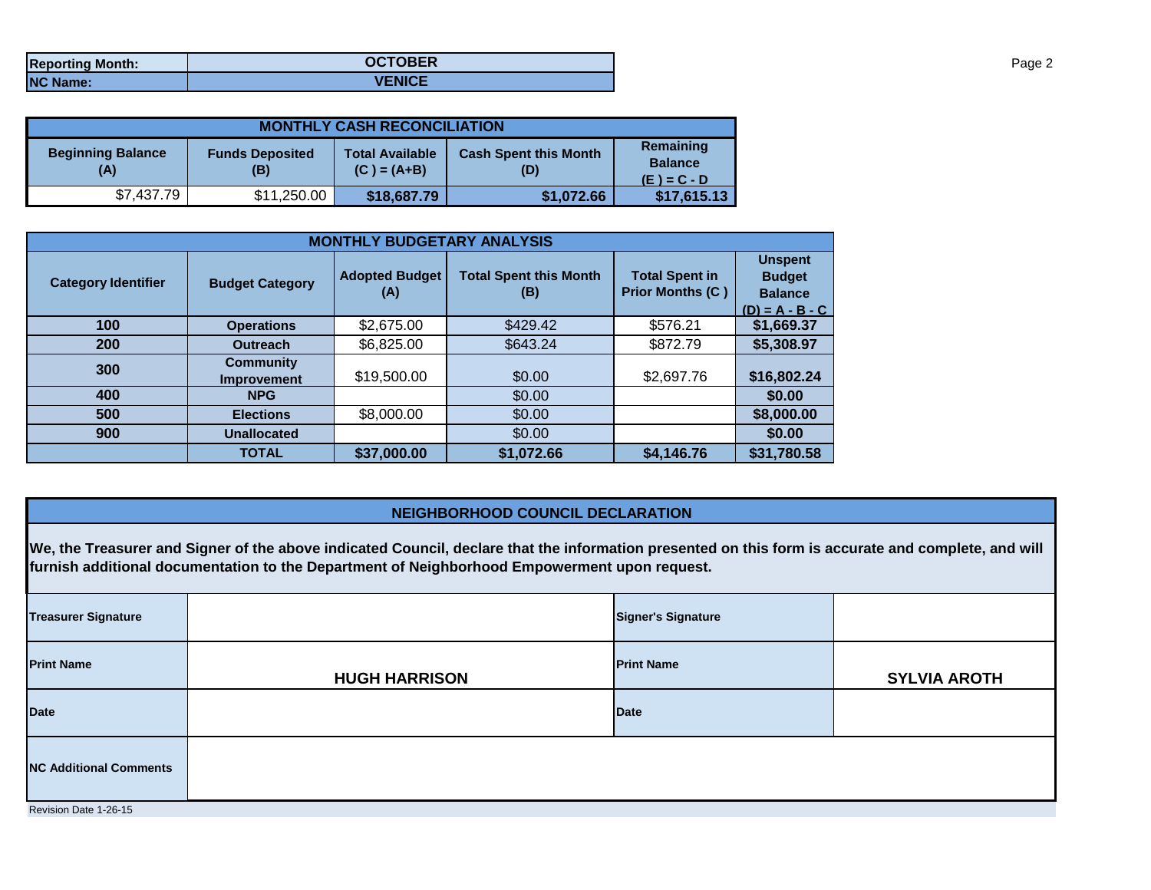| <b>Reporting Month:</b> | <b>OCTOBER</b> |
|-------------------------|----------------|
| <b>NC Name:</b>         | <b>VENICE</b>  |

| <b>MONTHLY CASH RECONCILIATION</b>                               |             |                                                                                |            |                                              |  |  |  |
|------------------------------------------------------------------|-------------|--------------------------------------------------------------------------------|------------|----------------------------------------------|--|--|--|
| <b>Beginning Balance</b><br><b>Funds Deposited</b><br>(A)<br>(B) |             | <b>Cash Spent this Month</b><br><b>Total Available</b><br>$(C) = (A+B)$<br>(D) |            | Remaining<br><b>Balance</b><br>$(E) = C - D$ |  |  |  |
| \$7,437.79                                                       | \$11,250.00 | \$18,687.79                                                                    | \$1,072.66 | \$17,615.13                                  |  |  |  |

| <b>MONTHLY BUDGETARY ANALYSIS</b> |                                        |                              |                                      |                                                  |                                                                        |  |  |
|-----------------------------------|----------------------------------------|------------------------------|--------------------------------------|--------------------------------------------------|------------------------------------------------------------------------|--|--|
| <b>Category Identifier</b>        | <b>Budget Category</b>                 | <b>Adopted Budget</b><br>(A) | <b>Total Spent this Month</b><br>(B) | <b>Total Spent in</b><br><b>Prior Months (C)</b> | <b>Unspent</b><br><b>Budget</b><br><b>Balance</b><br>$(D) = A - B - C$ |  |  |
| 100                               | <b>Operations</b>                      | \$2,675.00                   | \$429.42                             | \$576.21                                         | \$1,669.37                                                             |  |  |
| 200                               | <b>Outreach</b>                        | \$6,825.00                   | \$643.24                             | \$872.79                                         | \$5,308.97                                                             |  |  |
| 300                               | <b>Community</b><br><b>Improvement</b> | \$19,500.00                  | \$0.00                               | \$2,697.76                                       | \$16,802.24                                                            |  |  |
| 400                               | <b>NPG</b>                             |                              | \$0.00                               |                                                  | \$0.00                                                                 |  |  |
| 500                               | <b>Elections</b>                       | \$8,000.00                   | \$0.00                               |                                                  | \$8,000.00                                                             |  |  |
| 900                               | <b>Unallocated</b>                     |                              | \$0.00                               |                                                  | \$0.00                                                                 |  |  |
|                                   | <b>TOTAL</b>                           | \$37,000.00                  | \$1,072.66                           | \$4,146.76                                       | \$31,780.58                                                            |  |  |

## **NEIGHBORHOOD COUNCIL DECLARATION**

**We, the Treasurer and Signer of the above indicated Council, declare that the information presented on this form is accurate and complete, and will furnish additional documentation to the Department of Neighborhood Empowerment upon request.**

| <b>Treasurer Signature</b>    |                      | <b>Signer's Signature</b> |                     |  |  |  |
|-------------------------------|----------------------|---------------------------|---------------------|--|--|--|
| <b>Print Name</b>             | <b>HUGH HARRISON</b> | <b>Print Name</b>         | <b>SYLVIA AROTH</b> |  |  |  |
| <b>Date</b>                   |                      | <b>Date</b>               |                     |  |  |  |
| <b>NC Additional Comments</b> |                      |                           |                     |  |  |  |
| Revision Date 1-26-15         |                      |                           |                     |  |  |  |